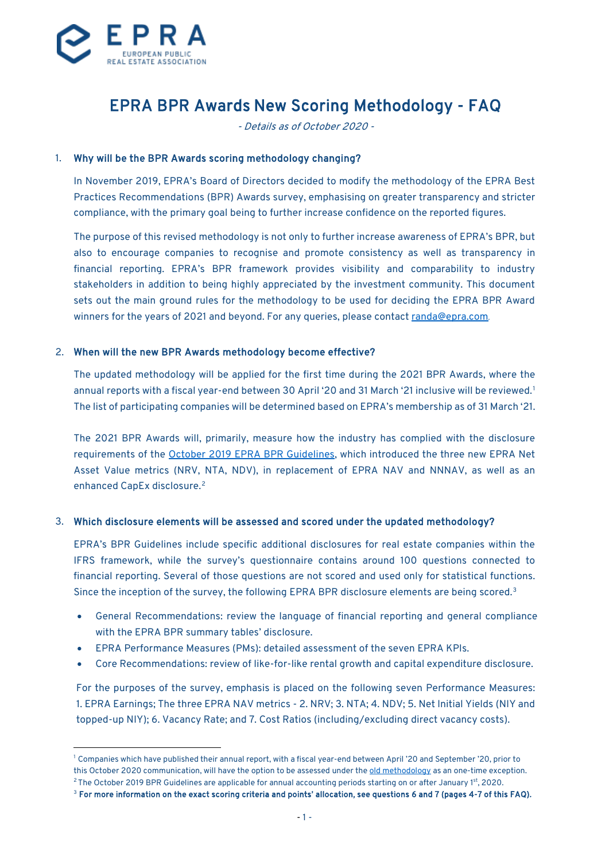

# EPRA BPR Awards New Scoring Methodology - FAQ

- Details as of October 2020 -

#### 1. Why will be the BPR Awards scoring methodology changing?

In November 2019, EPRA's Board of Directors decided to modify the methodology of the EPRA Best Practices Recommendations (BPR) Awards survey, emphasising on greater transparency and stricter compliance, with the primary goal being to further increase confidence on the reported figures.

The purpose of this revised methodology is not only to further increase awareness of EPRA's BPR, but also to encourage companies to recognise and promote consistency as well as transparency in financial reporting. EPRA's BPR framework provides visibility and comparability to industry stakeholders in addition to being highly appreciated by the investment community. This document sets out the main ground rules for the methodology to be used for deciding the EPRA BPR Award winners for the years of 2021 and beyond. For any queries, please contac[t randa@epra.com.](mailto:randa@epra.com)

#### 2. When will the new BPR Awards methodology become effective?

The updated methodology will be applied for the first time during the 2021 BPR Awards, where the annual reports with a fiscal year-end between 30 April '20 and 31 March '21 inclusive will be reviewed. [1](#page-0-0) The list of participating companies will be determined based on EPRA's membership as of 31 March '21.

The 2021 BPR Awards will, primarily, measure how the industry has complied with the disclosure requirements of the [October 2019 EPRA BPR Guidelines,](https://www.epra.com/application/files/3115/7287/4349/EPRA_BPR_Guidelines_241019.pdf) which introduced the three new EPRA Net Asset Value metrics (NRV, NTA, NDV), in replacement of EPRA NAV and NNNAV, as well as an enhanced CapEx disclosure.[2](#page-0-1)

#### 3. Which disclosure elements will be assessed and scored under the updated methodology?

EPRA's BPR Guidelines include specific additional disclosures for real estate companies within the IFRS framework, while the survey's questionnaire contains around 100 questions connected to financial reporting. Several of those questions are not scored and used only for statistical functions. Since the inception of the survey, the following EPRA BPR disclosure elements are being scored. [3](#page-0-2)

- General Recommendations: review the language of financial reporting and general compliance with the EPRA BPR summary tables' disclosure.
- EPRA Performance Measures (PMs): detailed assessment of the seven EPRA KPIs.
- Core Recommendations: review of like-for-like rental growth and capital expenditure disclosure.

For the purposes of the survey, emphasis is placed on the following seven Performance Measures: 1. EPRA Earnings; The three EPRA NAV metrics - 2. NRV; 3. NTA; 4. NDV; 5. Net Initial Yields (NIY and topped-up NIY); 6. Vacancy Rate; and 7. Cost Ratios (including/excluding direct vacancy costs).

<span id="page-0-0"></span><sup>1</sup> Companies which have published their annual report, with a fiscal year-end between April '20 and September '20, prior to this October 2020 communication, will have the option to be assessed under th[e old methodology](https://www.epra.com/application/files/2615/3666/3497/EPRA_BPR_Awards_Methodology_2018.pdf) as an one-time exception.

<span id="page-0-1"></span><sup>&</sup>lt;sup>2</sup> The October 2019 BPR Guidelines are applicable for annual accounting periods starting on or after January 1st, 2020.

<span id="page-0-2"></span><sup>3</sup> For more information on the exact scoring criteria and points' allocation, see questions 6 and 7 (pages 4-7 of this FAQ).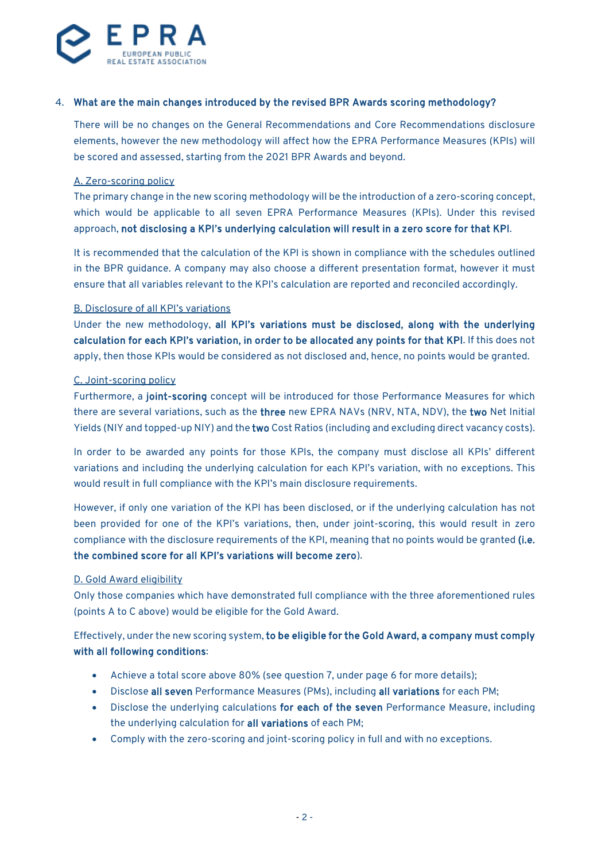

# 4. What are the main changes introduced by the revised BPR Awards scoring methodology?

There will be no changes on the General Recommendations and Core Recommendations disclosure elements, however the new methodology will affect how the EPRA Performance Measures (KPIs) will be scored and assessed, starting from the 2021 BPR Awards and beyond.

#### A. Zero-scoring policy

The primary change in the new scoring methodology will be the introduction of a zero-scoring concept, which would be applicable to all seven EPRA Performance Measures (KPIs). Under this revised approach, not disclosing a KPI's underlying calculation will result in a zero score for that KPI.

It is recommended that the calculation of the KPI is shown in compliance with the schedules outlined in the BPR guidance. A company may also choose a different presentation format, however it must ensure that all variables relevant to the KPI's calculation are reported and reconciled accordingly.

#### B. Disclosure of all KPI's variations

Under the new methodology, all KPI's variations must be disclosed, along with the underlying calculation for each KPI's variation, in order to be allocated any points for that KPI. If this does not apply, then those KPIs would be considered as not disclosed and, hence, no points would be granted.

#### C. Joint-scoring policy

Furthermore, a joint-scoring concept will be introduced for those Performance Measures for which there are several variations, such as the three new EPRA NAVs (NRV, NTA, NDV), the two Net Initial Yields (NIY and topped-up NIY) and the two Cost Ratios (including and excluding direct vacancy costs).

In order to be awarded any points for those KPIs, the company must disclose all KPIs' different variations and including the underlying calculation for each KPI's variation, with no exceptions. This would result in full compliance with the KPI's main disclosure requirements.

However, if only one variation of the KPI has been disclosed, or if the underlying calculation has not been provided for one of the KPI's variations, then, under joint-scoring, this would result in zero compliance with the disclosure requirements of the KPI, meaning that no points would be granted (i.e. the combined score for all KPI's variations will become zero).

#### D. Gold Award eligibility

Only those companies which have demonstrated full compliance with the three aforementioned rules (points A to C above) would be eligible for the Gold Award.

Effectively, under the new scoring system, to be eligible for the Gold Award, a company must comply with all following conditions:

- Achieve a total score above 80% (see question 7, under page 6 for more details);
- Disclose all seven Performance Measures (PMs), including all variations for each PM;
- Disclose the underlying calculations for each of the seven Performance Measure, including the underlying calculation for all variations of each PM;
- Comply with the zero-scoring and joint-scoring policy in full and with no exceptions.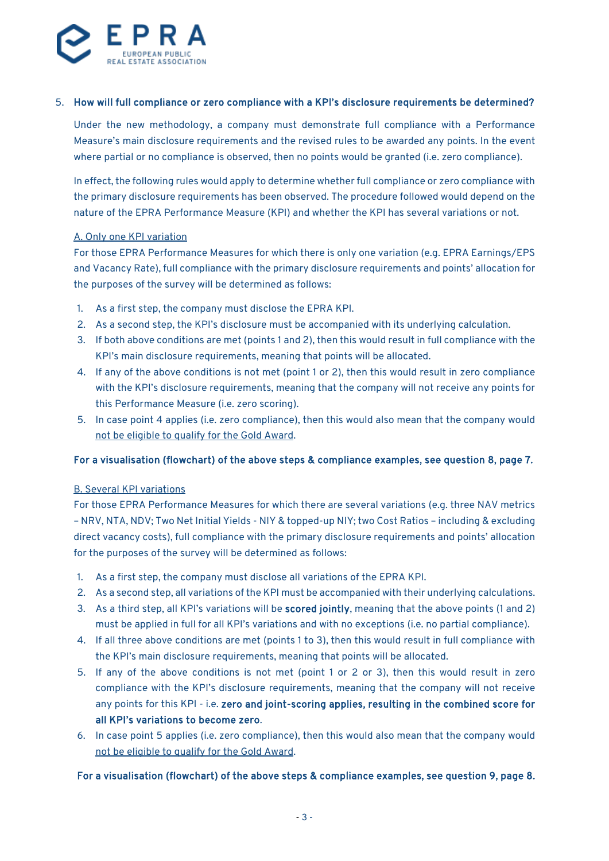

# 5. How will full compliance or zero compliance with a KPI's disclosure requirements be determined?

Under the new methodology, a company must demonstrate full compliance with a Performance Measure's main disclosure requirements and the revised rules to be awarded any points. In the event where partial or no compliance is observed, then no points would be granted (i.e. zero compliance).

In effect, the following rules would apply to determine whether full compliance or zero compliance with the primary disclosure requirements has been observed. The procedure followed would depend on the nature of the EPRA Performance Measure (KPI) and whether the KPI has several variations or not.

#### A. Only one KPI variation

For those EPRA Performance Measures for which there is only one variation (e.g. EPRA Earnings/EPS and Vacancy Rate), full compliance with the primary disclosure requirements and points' allocation for the purposes of the survey will be determined as follows:

- 1. As a first step, the company must disclose the EPRA KPI.
- 2. As a second step, the KPI's disclosure must be accompanied with its underlying calculation.
- 3. If both above conditions are met (points 1 and 2), then this would result in full compliance with the KPI's main disclosure requirements, meaning that points will be allocated.
- 4. If any of the above conditions is not met (point 1 or 2), then this would result in zero compliance with the KPI's disclosure requirements, meaning that the company will not receive any points for this Performance Measure (i.e. zero scoring).
- 5. In case point 4 applies (i.e. zero compliance), then this would also mean that the company would not be eligible to qualify for the Gold Award.

#### For a visualisation (flowchart) of the above steps & compliance examples, see question 8, page 7.

#### B. Several KPI variations

For those EPRA Performance Measures for which there are several variations (e.g. three NAV metrics – NRV, NTA, NDV; Two Net Initial Yields - NIY & topped-up NIY; two Cost Ratios – including & excluding direct vacancy costs), full compliance with the primary disclosure requirements and points' allocation for the purposes of the survey will be determined as follows:

- 1. As a first step, the company must disclose all variations of the EPRA KPI.
- 2. As a second step, all variations of the KPI must be accompanied with their underlying calculations.
- 3. As a third step, all KPI's variations will be scored jointly, meaning that the above points (1 and 2) must be applied in full for all KPI's variations and with no exceptions (i.e. no partial compliance).
- 4. If all three above conditions are met (points 1 to 3), then this would result in full compliance with the KPI's main disclosure requirements, meaning that points will be allocated.
- 5. If any of the above conditions is not met (point 1 or 2 or 3), then this would result in zero compliance with the KPI's disclosure requirements, meaning that the company will not receive any points for this KPI - i.e. zero and joint-scoring applies, resulting in the combined score for all KPI's variations to become zero.
- 6. In case point 5 applies (i.e. zero compliance), then this would also mean that the company would not be eligible to qualify for the Gold Award.

#### For a visualisation (flowchart) of the above steps & compliance examples, see question 9, page 8.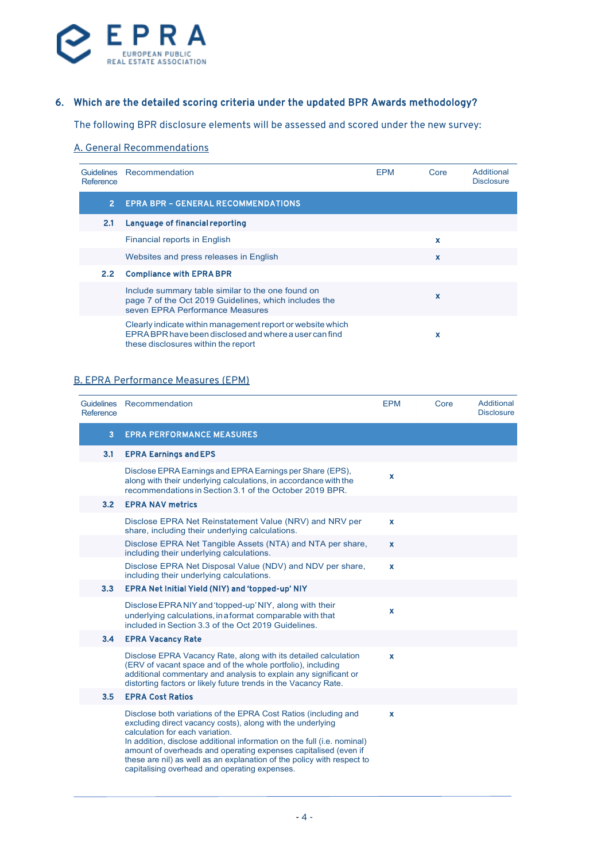

# 6. Which are the detailed scoring criteria under the updated BPR Awards methodology?

The following BPR disclosure elements will be assessed and scored under the new survey:

# A. General Recommendations

| Reference      | Guidelines Recommendation                                                                                                                                   | <b>EPM</b> | Core        | Additional<br><b>Disclosure</b> |
|----------------|-------------------------------------------------------------------------------------------------------------------------------------------------------------|------------|-------------|---------------------------------|
| 2 <sup>1</sup> | <b>EPRA BPR - GENERAL RECOMMENDATIONS</b>                                                                                                                   |            |             |                                 |
| 2.1            | Language of financial reporting                                                                                                                             |            |             |                                 |
|                | Financial reports in English                                                                                                                                |            | x           |                                 |
|                | Websites and press releases in English                                                                                                                      |            | x           |                                 |
| 2.2            | <b>Compliance with EPRA BPR</b>                                                                                                                             |            |             |                                 |
|                | Include summary table similar to the one found on<br>page 7 of the Oct 2019 Guidelines, which includes the<br>seven EPRA Performance Measures               |            | $\mathbf x$ |                                 |
|                | Clearly indicate within management report or website which<br>EPRA BPR have been disclosed and where a user can find<br>these disclosures within the report |            | x           |                                 |

# B. EPRA Performance Measures (EPM)

| <b>Guidelines</b><br>Reference | Recommendation                                                                                                                                                                                                                                                                                                                                                                                                                            | <b>EPM</b>  | Core | Additional<br><b>Disclosure</b> |
|--------------------------------|-------------------------------------------------------------------------------------------------------------------------------------------------------------------------------------------------------------------------------------------------------------------------------------------------------------------------------------------------------------------------------------------------------------------------------------------|-------------|------|---------------------------------|
| 3                              | <b>EPRA PERFORMANCE MEASURES</b>                                                                                                                                                                                                                                                                                                                                                                                                          |             |      |                                 |
| 3.1                            | <b>EPRA Earnings and EPS</b>                                                                                                                                                                                                                                                                                                                                                                                                              |             |      |                                 |
|                                | Disclose EPRA Earnings and EPRA Earnings per Share (EPS),<br>along with their underlying calculations, in accordance with the<br>recommendations in Section 3.1 of the October 2019 BPR.                                                                                                                                                                                                                                                  | x           |      |                                 |
| 3.2                            | <b>EPRA NAV metrics</b>                                                                                                                                                                                                                                                                                                                                                                                                                   |             |      |                                 |
|                                | Disclose EPRA Net Reinstatement Value (NRV) and NRV per<br>share, including their underlying calculations.                                                                                                                                                                                                                                                                                                                                | X           |      |                                 |
|                                | Disclose EPRA Net Tangible Assets (NTA) and NTA per share,<br>including their underlying calculations.                                                                                                                                                                                                                                                                                                                                    | $\mathbf x$ |      |                                 |
|                                | Disclose EPRA Net Disposal Value (NDV) and NDV per share,<br>including their underlying calculations.                                                                                                                                                                                                                                                                                                                                     | $\mathbf x$ |      |                                 |
| 3.3                            | EPRA Net Initial Yield (NIY) and 'topped-up' NIY                                                                                                                                                                                                                                                                                                                                                                                          |             |      |                                 |
|                                | Disclose EPRA NIY and 'topped-up' NIY, along with their<br>underlying calculations, in a format comparable with that<br>included in Section 3.3 of the Oct 2019 Guidelines.                                                                                                                                                                                                                                                               | x           |      |                                 |
| 3.4                            | <b>EPRA Vacancy Rate</b>                                                                                                                                                                                                                                                                                                                                                                                                                  |             |      |                                 |
|                                | Disclose EPRA Vacancy Rate, along with its detailed calculation<br>(ERV of vacant space and of the whole portfolio), including<br>additional commentary and analysis to explain any significant or<br>distorting factors or likely future trends in the Vacancy Rate.                                                                                                                                                                     | $\mathbf x$ |      |                                 |
| 3.5                            | <b>EPRA Cost Ratios</b>                                                                                                                                                                                                                                                                                                                                                                                                                   |             |      |                                 |
|                                | Disclose both variations of the EPRA Cost Ratios (including and<br>excluding direct vacancy costs), along with the underlying<br>calculation for each variation.<br>In addition, disclose additional information on the full (i.e. nominal)<br>amount of overheads and operating expenses capitalised (even if<br>these are nil) as well as an explanation of the policy with respect to<br>capitalising overhead and operating expenses. | x           |      |                                 |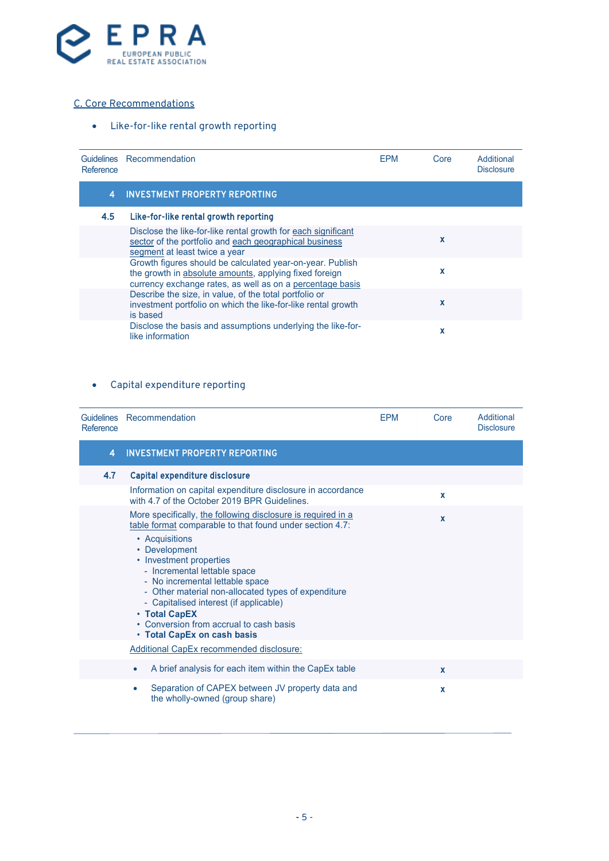

# C. Core Recommendations

• Like-for-like rental growth reporting

| Reference | Guidelines Recommendation                                                                                                                                                        | <b>EPM</b> | Core        | Additional<br><b>Disclosure</b> |
|-----------|----------------------------------------------------------------------------------------------------------------------------------------------------------------------------------|------------|-------------|---------------------------------|
| 4         | <b>INVESTMENT PROPERTY REPORTING</b>                                                                                                                                             |            |             |                                 |
| 4.5       | Like-for-like rental growth reporting                                                                                                                                            |            |             |                                 |
|           | Disclose the like-for-like rental growth for each significant<br>sector of the portfolio and each geographical business<br>segment at least twice a year                         |            | $\mathbf x$ |                                 |
|           | Growth figures should be calculated year-on-year. Publish<br>the growth in absolute amounts, applying fixed foreign<br>currency exchange rates, as well as on a percentage basis |            | x           |                                 |
|           | Describe the size, in value, of the total portfolio or<br>investment portfolio on which the like-for-like rental growth<br>is based                                              |            | x           |                                 |
|           | Disclose the basis and assumptions underlying the like-for-<br>like information                                                                                                  |            | x           |                                 |

# • Capital expenditure reporting

| Reference | Guidelines Recommendation                                                                                                                                                                                                                                                                                                 | <b>EPM</b> | Core         | Additional<br><b>Disclosure</b> |
|-----------|---------------------------------------------------------------------------------------------------------------------------------------------------------------------------------------------------------------------------------------------------------------------------------------------------------------------------|------------|--------------|---------------------------------|
| 4         | <b>INVESTMENT PROPERTY REPORTING</b>                                                                                                                                                                                                                                                                                      |            |              |                                 |
| 4.7       | <b>Capital expenditure disclosure</b>                                                                                                                                                                                                                                                                                     |            |              |                                 |
|           | Information on capital expenditure disclosure in accordance<br>with 4.7 of the October 2019 BPR Guidelines.                                                                                                                                                                                                               |            | $\mathbf x$  |                                 |
|           | More specifically, the following disclosure is required in a<br>table format comparable to that found under section 4.7:                                                                                                                                                                                                  |            | $\mathbf x$  |                                 |
|           | • Acquisitions<br>• Development<br>• Investment properties<br>- Incremental lettable space<br>- No incremental lettable space<br>- Other material non-allocated types of expenditure<br>- Capitalised interest (if applicable)<br>• Total CapEX<br>• Conversion from accrual to cash basis<br>• Total CapEx on cash basis |            |              |                                 |
|           | Additional CapEx recommended disclosure:                                                                                                                                                                                                                                                                                  |            |              |                                 |
|           | A brief analysis for each item within the CapEx table<br>$\bullet$                                                                                                                                                                                                                                                        |            | $\mathbf{x}$ |                                 |
|           | Separation of CAPEX between JV property data and<br>the wholly-owned (group share)                                                                                                                                                                                                                                        |            | X            |                                 |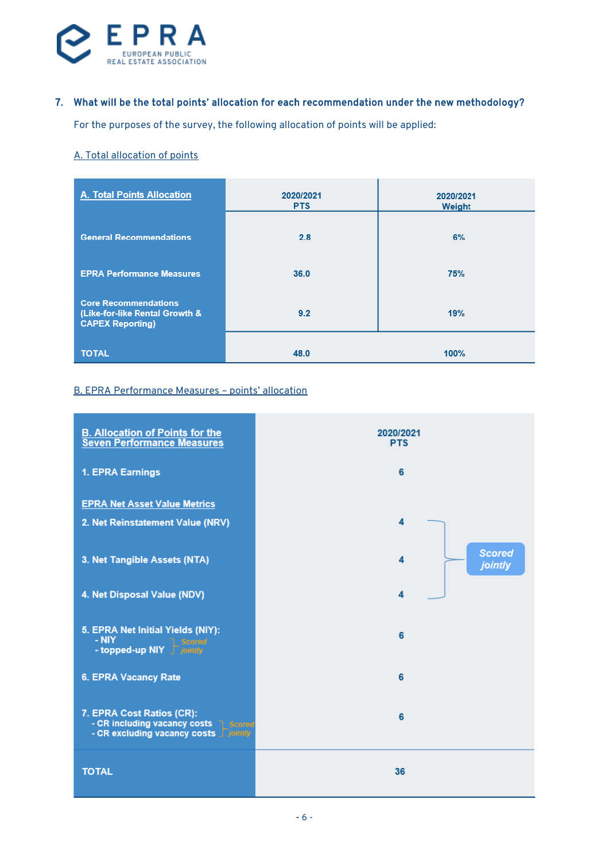

# 7. What will be the total points' allocation for each recommendation under the new methodology?

For the purposes of the survey, the following allocation of points will be applied:

#### A. Total allocation of points

| A. Total Points Allocation                                                               | 2020/2021<br><b>PTS</b> | 2020/2021<br>Weight |
|------------------------------------------------------------------------------------------|-------------------------|---------------------|
| <b>General Recommendations</b>                                                           | 2.8                     | 6%                  |
| <b>EPRA Performance Measures</b>                                                         | 36.0                    | 75%                 |
| <b>Core Recommendations</b><br>(Like-for-like Rental Growth &<br><b>CAPEX Reporting)</b> | 9.2                     | 19%                 |
| <b>TOTAL</b>                                                                             | 48.0                    | 100%                |

#### B. EPRA Performance Measures – points' allocation

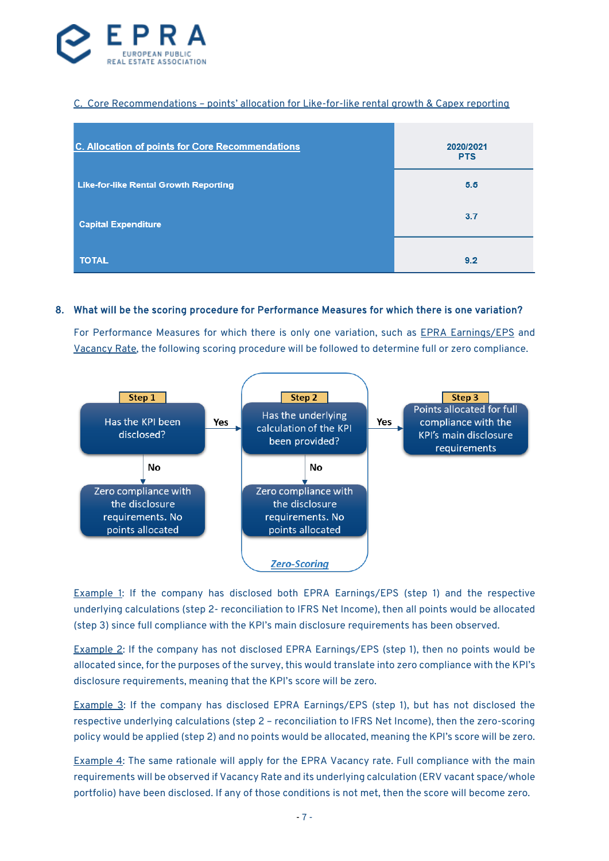

### C. Core Recommendations – points' allocation for Like-for-like rental growth & Capex reporting

| <b>C. Allocation of points for Core Recommendations</b> | 2020/2021<br><b>PTS</b> |
|---------------------------------------------------------|-------------------------|
| <b>Like-for-like Rental Growth Reporting</b>            | 5.5                     |
| <b>Capital Expenditure</b>                              | 3.7                     |
| <b>TOTAL</b>                                            | 9.2                     |

#### 8. What will be the scoring procedure for Performance Measures for which there is one variation?

For Performance Measures for which there is only one variation, such as **EPRA Earnings/EPS** and Vacancy Rate, the following scoring procedure will be followed to determine full or zero compliance.



Example 1: If the company has disclosed both EPRA Earnings/EPS (step 1) and the respective underlying calculations (step 2- reconciliation to IFRS Net Income), then all points would be allocated (step 3) since full compliance with the KPI's main disclosure requirements has been observed.

Example 2: If the company has not disclosed EPRA Earnings/EPS (step 1), then no points would be allocated since, for the purposes of the survey, this would translate into zero compliance with the KPI's disclosure requirements, meaning that the KPI's score will be zero.

Example 3: If the company has disclosed EPRA Earnings/EPS (step 1), but has not disclosed the respective underlying calculations (step 2 – reconciliation to IFRS Net Income), then the zero-scoring policy would be applied (step 2) and no points would be allocated, meaning the KPI's score will be zero.

Example 4: The same rationale will apply for the EPRA Vacancy rate. Full compliance with the main requirements will be observed if Vacancy Rate and its underlying calculation (ERV vacant space/whole portfolio) have been disclosed. If any of those conditions is not met, then the score will become zero.